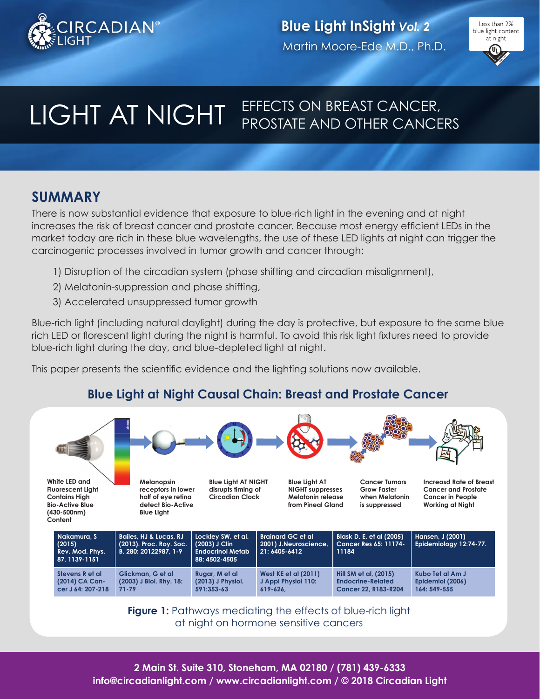

**Blue Light InSight** *Vol. 2* Martin Moore-Ede M.D., Ph.D.



#### LIGHT AT NIGHT EFFECTS ON BREAST CANCER, PROSTATE AND OTHER CANCERS

## **SUMMARY**

There is now substantial evidence that exposure to blue-rich light in the evening and at night increases the risk of breast cancer and prostate cancer. Because most energy efficient LEDs in the market today are rich in these blue wavelengths, the use of these LED lights at night can trigger the carcinogenic processes involved in tumor growth and cancer through:

- 1) Disruption of the circadian system (phase shifting and circadian misalignment),
- 2) Melatonin-suppression and phase shifting,
- 3) Accelerated unsuppressed tumor growth

Blue-rich light (including natural daylight) during the day is protective, but exposure to the same blue rich LED or florescent light during the night is harmful. To avoid this risk light fixtures need to provide blue-rich light during the day, and blue-depleted light at night.

This paper presents the scientific evidence and the lighting solutions now available.

## **Blue Light at Night Causal Chain: Breast and Prostate Cancer**



**Figure 1:** Pathways mediating the effects of blue-rich light at night on hormone sensitive cancers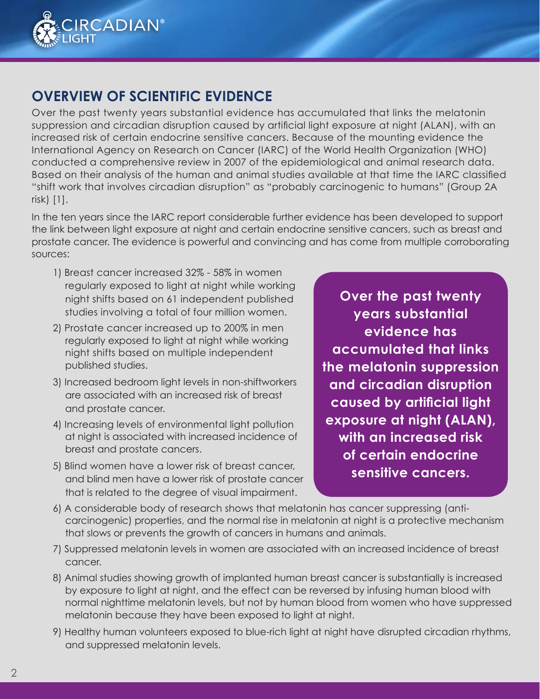

# **OVERVIEW OF SCIENTIFIC EVIDENCE**

Over the past twenty years substantial evidence has accumulated that links the melatonin suppression and circadian disruption caused by artificial light exposure at night (ALAN), with an increased risk of certain endocrine sensitive cancers. Because of the mounting evidence the International Agency on Research on Cancer (IARC) of the World Health Organization (WHO) conducted a comprehensive review in 2007 of the epidemiological and animal research data. Based on their analysis of the human and animal studies available at that time the IARC classified "shift work that involves circadian disruption" as "probably carcinogenic to humans" (Group 2A risk) [1].

In the ten years since the IARC report considerable further evidence has been developed to support the link between light exposure at night and certain endocrine sensitive cancers, such as breast and prostate cancer. The evidence is powerful and convincing and has come from multiple corroborating sources:

- 1) Breast cancer increased 32% 58% in women regularly exposed to light at night while working night shifts based on 61 independent published studies involving a total of four million women.
- 2) Prostate cancer increased up to 200% in men regularly exposed to light at night while working night shifts based on multiple independent published studies.
- 3) Increased bedroom light levels in non-shiftworkers are associated with an increased risk of breast and prostate cancer.
- 4) Increasing levels of environmental light pollution at night is associated with increased incidence of breast and prostate cancers.
- 5) Blind women have a lower risk of breast cancer, and blind men have a lower risk of prostate cancer that is related to the degree of visual impairment.

**Over the past twenty years substantial evidence has accumulated that links the melatonin suppression and circadian disruption caused by artificial light exposure at night (ALAN), with an increased risk of certain endocrine sensitive cancers.**

- 6) A considerable body of research shows that melatonin has cancer suppressing (anti carcinogenic) properties, and the normal rise in melatonin at night is a protective mechanism that slows or prevents the growth of cancers in humans and animals.
- 7) Suppressed melatonin levels in women are associated with an increased incidence of breast cancer.
- 8) Animal studies showing growth of implanted human breast cancer is substantially is increased by exposure to light at night, and the effect can be reversed by infusing human blood with normal nighttime melatonin levels, but not by human blood from women who have suppressed melatonin because they have been exposed to light at night.
- 9) Healthy human volunteers exposed to blue-rich light at night have disrupted circadian rhythms, and suppressed melatonin levels.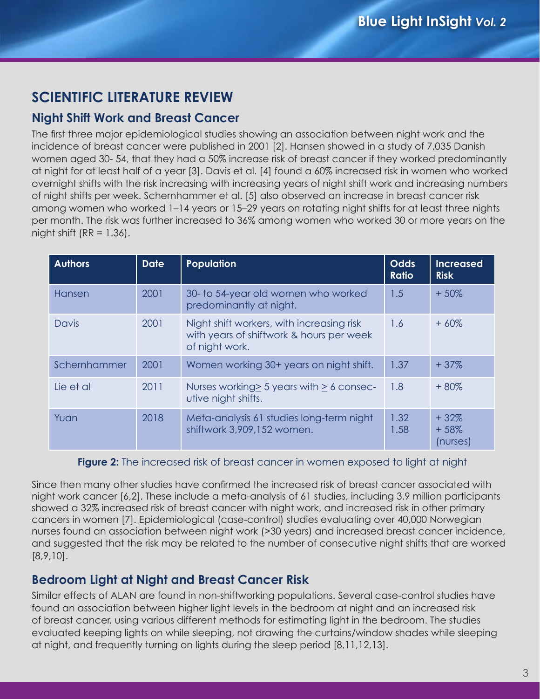# **SCIENTIFIC LITERATURE REVIEW**

## **Night Shift Work and Breast Cancer**

The first three major epidemiological studies showing an association between night work and the incidence of breast cancer were published in 2001 [2]. Hansen showed in a study of 7,035 Danish women aged 30- 54, that they had a 50% increase risk of breast cancer if they worked predominantly at night for at least half of a year [3]. Davis et al. [4] found a 60% increased risk in women who worked overnight shifts with the risk increasing with increasing years of night shift work and increasing numbers of night shifts per week. Schernhammer et al. [5] also observed an increase in breast cancer risk among women who worked 1–14 years or 15–29 years on rotating night shifts for at least three nights per month. The risk was further increased to 36% among women who worked 30 or more years on the night shift ( $RR = 1.36$ ).

| <b>Authors</b> | <b>Date</b> | <b>Population</b>                                                                                       | <b>Odds</b><br><b>Ratio</b> | <b>Increased</b><br><b>Risk</b> |
|----------------|-------------|---------------------------------------------------------------------------------------------------------|-----------------------------|---------------------------------|
| Hansen         | 2001        | 30- to 54-year old women who worked<br>predominantly at night.                                          | 1.5                         | $+50%$                          |
| Davis          | 2001        | Night shift workers, with increasing risk<br>with years of shiftwork & hours per week<br>of night work. | 1.6                         | $+60%$                          |
| Schernhammer   | 2001        | Women working 30+ years on night shift.                                                                 | 1.37                        | $+37%$                          |
| Lie et al      | 2011        | Nurses working $\geq$ 5 years with $\geq$ 6 consec-<br>utive night shifts.                              | 1.8                         | $+80%$                          |
| Yuan           | 2018        | Meta-analysis 61 studies long-term night<br>shiftwork 3,909,152 women.                                  | 1.32<br>1.58                | $+32%$<br>$+58%$<br>(nurses)    |

**Figure 2:** The increased risk of breast cancer in women exposed to light at night

Since then many other studies have confirmed the increased risk of breast cancer associated with night work cancer [6,2]. These include a meta-analysis of 61 studies, including 3.9 million participants showed a 32% increased risk of breast cancer with night work, and increased risk in other primary cancers in women [7]. Epidemiological (case-control) studies evaluating over 40,000 Norwegian nurses found an association between night work (>30 years) and increased breast cancer incidence, and suggested that the risk may be related to the number of consecutive night shifts that are worked [8,9,10].

## **Bedroom Light at Night and Breast Cancer Risk**

Similar effects of ALAN are found in non-shiftworking populations. Several case-control studies have found an association between higher light levels in the bedroom at night and an increased risk of breast cancer, using various different methods for estimating light in the bedroom. The studies evaluated keeping lights on while sleeping, not drawing the curtains/window shades while sleeping at night, and frequently turning on lights during the sleep period [8,11,12,13].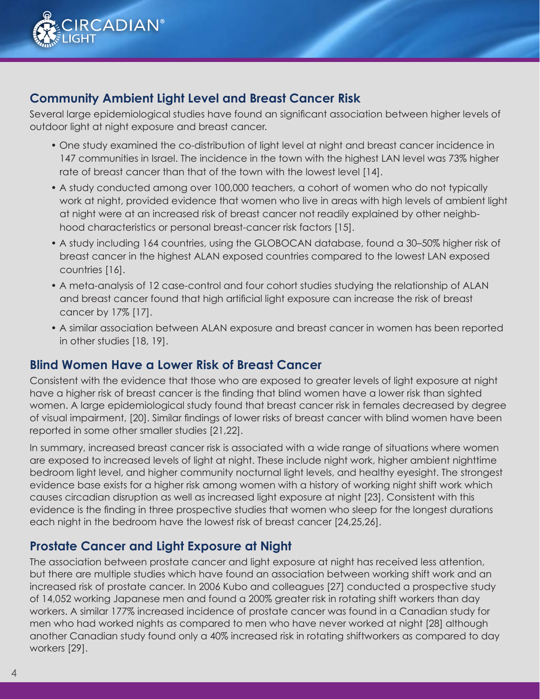

## **Community Ambient Light Level and Breast Cancer Risk**

Several large epidemiological studies have found an significant association between higher levels of outdoor light at night exposure and breast cancer.

- One study examined the co-distribution of light level at night and breast cancer incidence in 147 communities in Israel. The incidence in the town with the highest LAN level was 73% higher rate of breast cancer than that of the town with the lowest level [14].
- A study conducted among over 100,000 teachers, a cohort of women who do not typically work at night, provided evidence that women who live in areas with high levels of ambient light at night were at an increased risk of breast cancer not readily explained by other neighb hood characteristics or personal breast-cancer risk factors [15].
- A study including 164 countries, using the GLOBOCAN database, found a 30–50% higher risk of breast cancer in the highest ALAN exposed countries compared to the lowest LAN exposed countries [16].
- A meta-analysis of 12 case-control and four cohort studies studying the relationship of ALAN and breast cancer found that high artificial light exposure can increase the risk of breast cancer by 17% [17].
- A similar association between ALAN exposure and breast cancer in women has been reported in other studies [18, 19].

## **Blind Women Have a Lower Risk of Breast Cancer**

Consistent with the evidence that those who are exposed to greater levels of light exposure at night have a higher risk of breast cancer is the finding that blind women have a lower risk than sighted women. A large epidemiological study found that breast cancer risk in females decreased by degree of visual impairment, [20]. Similar findings of lower risks of breast cancer with blind women have been reported in some other smaller studies [21,22].

In summary, increased breast cancer risk is associated with a wide range of situations where women are exposed to increased levels of light at night. These include night work, higher ambient nighttime bedroom light level, and higher community nocturnal light levels, and healthy eyesight. The strongest evidence base exists for a higher risk among women with a history of working night shift work which causes circadian disruption as well as increased light exposure at night [23]. Consistent with this evidence is the finding in three prospective studies that women who sleep for the longest durations each night in the bedroom have the lowest risk of breast cancer [24,25,26].

## **Prostate Cancer and Light Exposure at Night**

The association between prostate cancer and light exposure at night has received less attention, but there are multiple studies which have found an association between working shift work and an increased risk of prostate cancer. In 2006 Kubo and colleagues [27] conducted a prospective study of 14,052 working Japanese men and found a 200% greater risk in rotating shift workers than day workers. A similar 177% increased incidence of prostate cancer was found in a Canadian study for men who had worked nights as compared to men who have never worked at night [28] although another Canadian study found only a 40% increased risk in rotating shiftworkers as compared to day workers [29].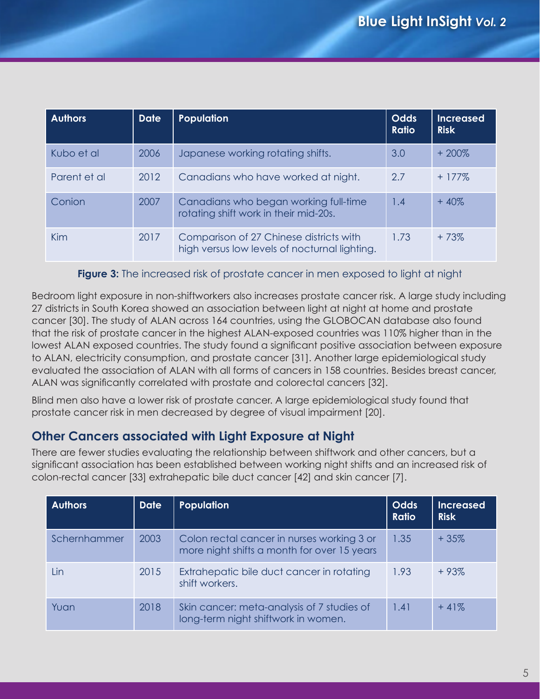| <b>Authors</b> | <b>Date</b> | <b>Population</b>                                                                        | <b>Odds</b><br><b>Ratio</b> | Increased<br><b>Risk</b> |
|----------------|-------------|------------------------------------------------------------------------------------------|-----------------------------|--------------------------|
| Kubo et al     | 2006        | Japanese working rotating shifts.                                                        | 3.0                         | $+200\%$                 |
| Parent et al   | 2012        | Canadians who have worked at night.                                                      | 2.7                         | $+177%$                  |
| Conion         | 2007        | Canadians who began working full-time<br>rotating shift work in their mid-20s.           | 1.4                         | $+40%$                   |
| Kim            | 2017        | Comparison of 27 Chinese districts with<br>high versus low levels of nocturnal lighting. | 1.73                        | $+73%$                   |

#### **Figure 3:** The increased risk of prostate cancer in men exposed to light at night

Bedroom light exposure in non-shiftworkers also increases prostate cancer risk. A large study including 27 districts in South Korea showed an association between light at night at home and prostate cancer [30]. The study of ALAN across 164 countries, using the GLOBOCAN database also found that the risk of prostate cancer in the highest ALAN-exposed countries was 110% higher than in the lowest ALAN exposed countries. The study found a significant positive association between exposure to ALAN, electricity consumption, and prostate cancer [31]. Another large epidemiological study evaluated the association of ALAN with all forms of cancers in 158 countries. Besides breast cancer, ALAN was significantly correlated with prostate and colorectal cancers [32].

Blind men also have a lower risk of prostate cancer. A large epidemiological study found that prostate cancer risk in men decreased by degree of visual impairment [20].

## **Other Cancers associated with Light Exposure at Night**

There are fewer studies evaluating the relationship between shiftwork and other cancers, but a significant association has been established between working night shifts and an increased risk of colon-rectal cancer [33] extrahepatic bile duct cancer [42] and skin cancer [7].

| <b>Authors</b> | <b>Date</b> | <b>Population</b>                                                                         | <b>Odds</b><br><b>Ratio</b> | <b>Increased</b><br><b>Risk</b> |
|----------------|-------------|-------------------------------------------------------------------------------------------|-----------------------------|---------------------------------|
| Schernhammer   | 2003        | Colon rectal cancer in nurses working 3 or<br>more night shifts a month for over 15 years | 1.35                        | $+35%$                          |
| Lin            | 2015        | Extrahepatic bile duct cancer in rotating<br>shift workers.                               | 1.93                        | $+93%$                          |
| Yuan           | 2018        | Skin cancer: meta-analysis of 7 studies of<br>long-term night shiftwork in women.         | 1.41                        | $+41%$                          |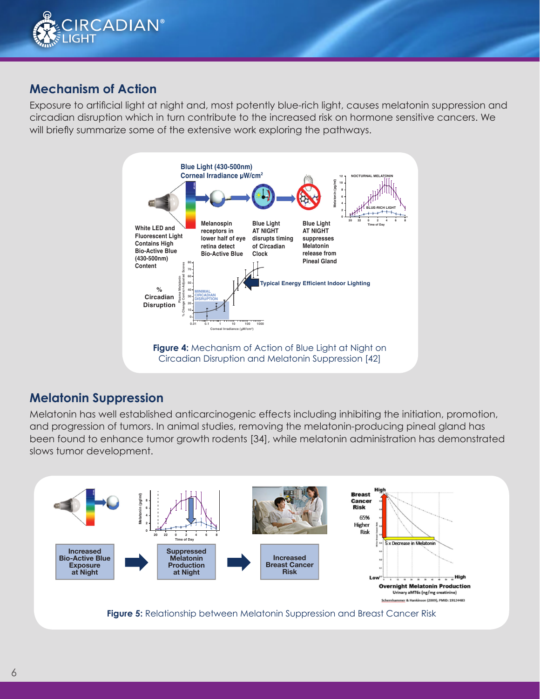

## **Mechanism of Action**

Exposure to artificial light at night and, most potently blue-rich light, causes melatonin suppression and circadian disruption which in turn contribute to the increased risk on hormone sensitive cancers. We will briefly summarize some of the extensive work exploring the pathways.



## **Melatonin Suppression**

Melatonin has well established anticarcinogenic effects including inhibiting the initiation, promotion, and progression of tumors. In animal studies, removing the melatonin-producing pineal gland has been found to enhance tumor growth rodents [34], while melatonin administration has demonstrated slows tumor development.



**Figure 5:** Relationship between Melatonin Suppression and Breast Cancer Risk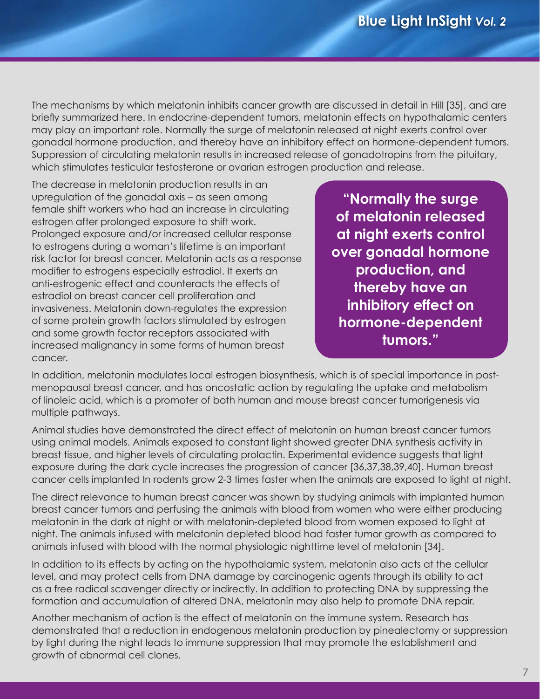The mechanisms by which melatonin inhibits cancer growth are discussed in detail in Hill [35], and are briefly summarized here. In endocrine-dependent tumors, melatonin effects on hypothalamic centers may play an important role. Normally the surge of melatonin released at night exerts control over gonadal hormone production, and thereby have an inhibitory effect on hormone-dependent tumors. Suppression of circulating melatonin results in increased release of gonadotropins from the pituitary, which stimulates testicular testosterone or ovarian estrogen production and release.

The decrease in melatonin production results in an upregulation of the gonadal axis – as seen among female shift workers who had an increase in circulating estrogen after prolonged exposure to shift work. Prolonged exposure and/or increased cellular response to estrogens during a woman's lifetime is an important risk factor for breast cancer. Melatonin acts as a response modifier to estrogens especially estradiol. It exerts an anti-estrogenic effect and counteracts the effects of estradiol on breast cancer cell proliferation and invasiveness. Melatonin down-regulates the expression of some protein growth factors stimulated by estrogen and some growth factor receptors associated with increased malignancy in some forms of human breast cancer.

**"Normally the surge of melatonin released at night exerts control over gonadal hormone production, and thereby have an inhibitory effect on hormone-dependent tumors."** 

In addition, melatonin modulates local estrogen biosynthesis, which is of special importance in postmenopausal breast cancer, and has oncostatic action by regulating the uptake and metabolism of linoleic acid, which is a promoter of both human and mouse breast cancer tumorigenesis via multiple pathways.

Animal studies have demonstrated the direct effect of melatonin on human breast cancer tumors using animal models. Animals exposed to constant light showed greater DNA synthesis activity in breast tissue, and higher levels of circulating prolactin. Experimental evidence suggests that light exposure during the dark cycle increases the progression of cancer [36,37,38,39,40]. Human breast cancer cells implanted In rodents grow 2-3 times faster when the animals are exposed to light at night.

The direct relevance to human breast cancer was shown by studying animals with implanted human breast cancer tumors and perfusing the animals with blood from women who were either producing melatonin in the dark at night or with melatonin-depleted blood from women exposed to light at night. The animals infused with melatonin depleted blood had faster tumor growth as compared to animals infused with blood with the normal physiologic nighttime level of melatonin [34].

In addition to its effects by acting on the hypothalamic system, melatonin also acts at the cellular level, and may protect cells from DNA damage by carcinogenic agents through its ability to act as a free radical scavenger directly or indirectly. In addition to protecting DNA by suppressing the formation and accumulation of altered DNA, melatonin may also help to promote DNA repair.

Another mechanism of action is the effect of melatonin on the immune system. Research has demonstrated that a reduction in endogenous melatonin production by pinealectomy or suppression by light during the night leads to immune suppression that may promote the establishment and growth of abnormal cell clones.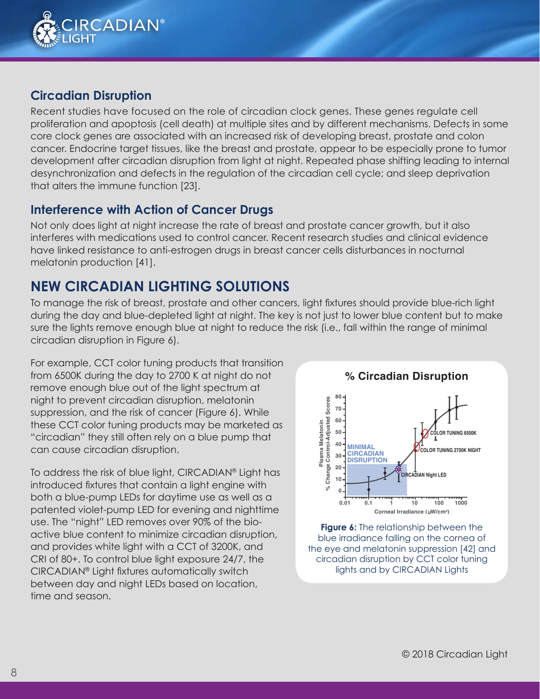

## **Circadian Disruption**

Recent studies have focused on the role of circadian clock genes. These genes regulate cell proliferation and apoptosis (cell death) at multiple sites and by different mechanisms. Defects in some core clock genes are associated with an increased risk of developing breast, prostate and colon cancer. Endocrine target tissues, like the breast and prostate, appear to be especially prone to tumor development after circadian disruption from light at night. Repeated phase shifting leading to internal desynchronization and defects in the regulation of the circadian cell cycle; and sleep deprivation that alters the immune function [23].

## **Interference with Action of Cancer Drugs**

Not only does light at night increase the rate of breast and prostate cancer growth, but it also interferes with medications used to control cancer. Recent research studies and clinical evidence have linked resistance to anti-estrogen drugs in breast cancer cells disturbances in nocturnal melatonin production [41].

# **NEW CIRCADIAN LIGHTING SOLUTIONS**

To manage the risk of breast, prostate and other cancers, light fixtures should provide blue-rich light during the day and blue-depleted light at night. The key is not just to lower blue content but to make sure the lights remove enough blue at night to reduce the risk (i.e., fall within the range of minimal circadian disruption in Figure 6).

For example, CCT color tuning products that transition from 6500K during the day to 2700 K at night do not remove enough blue out of the light spectrum at night to prevent circadian disruption, melatonin suppression, and the risk of cancer (Figure 6). While these CCT color tuning products may be marketed as "circadian" they still often rely on a blue pump that can cause circadian disruption.

To address the risk of blue light, CIRCADIAN® Light has introduced fixtures that contain a light engine with both a blue-pump LEDs for daytime use as well as a patented violet-pump LED for evening and nighttime use. The "night" LED removes over 90% of the bioactive blue content to minimize circadian disruption, and provides white light with a CCT of 3200K, and CRI of 80+. To control blue light exposure 24/7, the CIRCADIAN® Light fixtures automatically switch between day and night LEDs based on location, time and season.





**Figure 6:** The relationship between the blue irradiance falling on the cornea of the eye and melatonin suppression [42] and circadian disruption by CCT color tuning lights and by CIRCADIAN Lights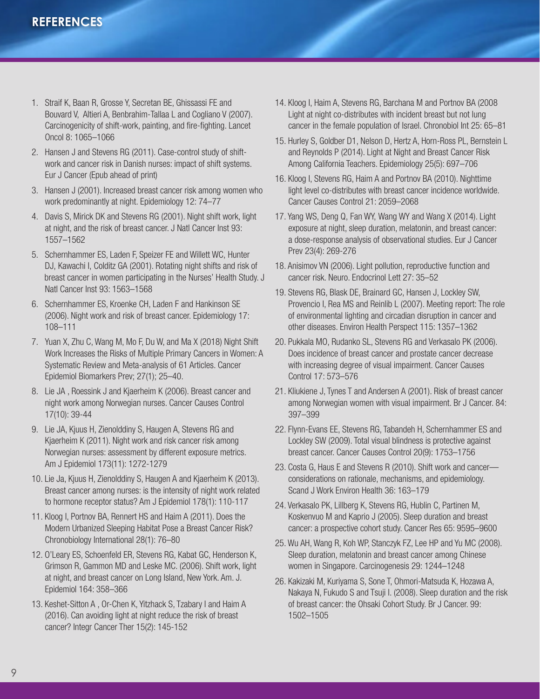- 1. Straif K, Baan R, Grosse Y, Secretan BE, Ghissassi FE and Bouvard V, Altieri A, Benbrahim-Tallaa L and Cogliano V (2007). Carcinogenicity of shift-work, painting, and fire-fighting. Lancet Oncol 8: 1065–1066
- 2. Hansen J and Stevens RG (2011). Case-control study of shiftwork and cancer risk in Danish nurses: impact of shift systems. Eur J Cancer (Epub ahead of print)
- 3. Hansen J (2001). Increased breast cancer risk among women who work predominantly at night. Epidemiology 12: 74–77
- 4. Davis S, Mirick DK and Stevens RG (2001). Night shift work, light at night, and the risk of breast cancer. J Natl Cancer Inst 93: 1557–1562
- 5. Schernhammer ES, Laden F, Speizer FE and Willett WC, Hunter DJ, Kawachi I, Colditz GA (2001). Rotating night shifts and risk of breast cancer in women participating in the Nurses' Health Study. J Natl Cancer Inst 93: 1563–1568
- 6. Schernhammer ES, Kroenke CH, Laden F and Hankinson SE (2006). Night work and risk of breast cancer. Epidemiology 17: 108–111
- 7. Yuan X, Zhu C, Wang M, Mo F, Du W, and Ma X (2018) Night Shift Work Increases the Risks of Multiple Primary Cancers in Women: A Systematic Review and Meta-analysis of 61 Articles. Cancer Epidemiol Biomarkers Prev; 27(1); 25–40.
- 8. Lie JA , Roessink J and Kjaerheim K (2006). Breast cancer and night work among Norwegian nurses. Cancer Causes Control 17(10): 39-44
- 9. Lie JA, Kjuus H, Zienolddiny S, Haugen A, Stevens RG and Kjaerheim K (2011). Night work and risk cancer risk among Norwegian nurses: assessment by different exposure metrics. Am J Epidemiol 173(11): 1272-1279
- 10. Lie Ja, Kjuus H, Zienolddiny S, Haugen A and Kjaerheim K (2013). Breast cancer among nurses: is the intensity of night work related to hormone receptor status? Am J Epidemiol 178(1): 110-117
- 11. Kloog I, Portnov BA, Rennert HS and Haim A (2011). Does the Modern Urbanized Sleeping Habitat Pose a Breast Cancer Risk? Chronobiology International 28(1): 76–80
- 12. O'Leary ES, Schoenfeld ER, Stevens RG, Kabat GC, Henderson K, Grimson R, Gammon MD and Leske MC. (2006). Shift work, light at night, and breast cancer on Long Island, New York. Am. J. Epidemiol 164: 358–366
- 13. Keshet-Sitton A , Or-Chen K, Yitzhack S, Tzabary I and Haim A (2016). Can avoiding light at night reduce the risk of breast cancer? Integr Cancer Ther 15(2): 145-152
- 14. Kloog I, Haim A, Stevens RG, Barchana M and Portnov BA (2008 Light at night co-distributes with incident breast but not lung cancer in the female population of Israel. Chronobiol Int 25: 65–81
- 15. Hurley S, Goldber D1, Nelson D, Hertz A, Horn-Ross PL, Bernstein L and Reynolds P (2014). Light at Night and Breast Cancer Risk Among California Teachers. Epidemiology 25(5): 697–706
- 16. Kloog I, Stevens RG, Haim A and Portnov BA (2010). Nighttime light level co-distributes with breast cancer incidence worldwide. Cancer Causes Control 21: 2059–2068
- 17. Yang WS, Deng Q, Fan WY, Wang WY and Wang X (2014). Light exposure at night, sleep duration, melatonin, and breast cancer: a dose-response analysis of observational studies. Eur J Cancer Prev 23(4): 269-276
- 18. Anisimov VN (2006). Light pollution, reproductive function and cancer risk. Neuro. Endocrinol Lett 27: 35–52
- 19. Stevens RG, Blask DE, Brainard GC, Hansen J, Lockley SW, Provencio I, Rea MS and Reinlib L (2007). Meeting report: The role of environmental lighting and circadian disruption in cancer and other diseases. Environ Health Perspect 115: 1357–1362
- 20. Pukkala MO, Rudanko SL, Stevens RG and Verkasalo PK (2006). Does incidence of breast cancer and prostate cancer decrease with increasing degree of visual impairment. Cancer Causes Control 17: 573–576
- 21. Kliukiene J, Tynes T and Andersen A (2001). Risk of breast cancer among Norwegian women with visual impairment. Br J Cancer. 84: 397–399
- 22. Flynn-Evans EE, Stevens RG, Tabandeh H, Schernhammer ES and Lockley SW (2009). Total visual blindness is protective against breast cancer. Cancer Causes Control 20(9): 1753–1756
- 23. Costa G, Haus E and Stevens R (2010). Shift work and cancer considerations on rationale, mechanisms, and epidemiology. Scand J Work Environ Health 36: 163–179
- 24. Verkasalo PK, Lillberg K, Stevens RG, Hublin C, Partinen M, Koskenvuo M and Kaprio J (2005). Sleep duration and breast cancer: a prospective cohort study. Cancer Res 65: 9595–9600
- 25. Wu AH, Wang R, Koh WP, Stanczyk FZ, Lee HP and Yu MC (2008). Sleep duration, melatonin and breast cancer among Chinese women in Singapore. Carcinogenesis 29: 1244–1248
- 26. Kakizaki M, Kuriyama S, Sone T, Ohmori-Matsuda K, Hozawa A, Nakaya N, Fukudo S and Tsuji I. (2008). Sleep duration and the risk of breast cancer: the Ohsaki Cohort Study. Br J Cancer. 99: 1502–1505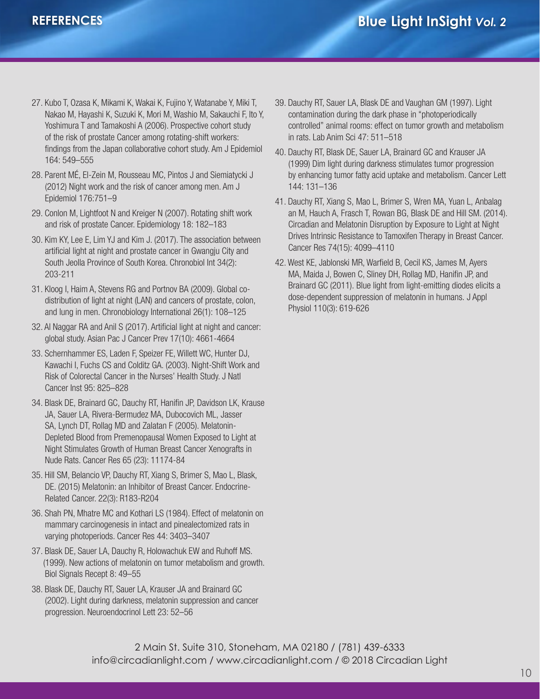- 27. Kubo T, Ozasa K, Mikami K, Wakai K, Fujino Y, Watanabe Y, Miki T, Nakao M, Hayashi K, Suzuki K, Mori M, Washio M, Sakauchi F, Ito Y, Yoshimura T and Tamakoshi A (2006). Prospective cohort study of the risk of prostate Cancer among rotating-shift workers: findings from the Japan collaborative cohort study. Am J Epidemiol 164: 549–555
- 28. Parent MÉ, El-Zein M, Rousseau MC, Pintos J and Siemiatycki J (2012) Night work and the risk of cancer among men. Am J Epidemiol 176:751–9
- 29. Conlon M, Lightfoot N and Kreiger N (2007). Rotating shift work and risk of prostate Cancer. Epidemiology 18: 182–183
- 30. Kim KY, Lee E, Lim YJ and Kim J. (2017). The association between artificial light at night and prostate cancer in Gwangju City and South Jeolla Province of South Korea. Chronobiol Int 34(2): 203-211
- 31. Kloog I, Haim A, Stevens RG and Portnov BA (2009). Global codistribution of light at night (LAN) and cancers of prostate, colon, and lung in men. Chronobiology International 26(1): 108–125
- 32. Al Naggar RA and Anil S (2017). Artificial light at night and cancer: global study. Asian Pac J Cancer Prev 17(10): 4661-4664
- 33. Schernhammer ES, Laden F, Speizer FE, Willett WC, Hunter DJ, Kawachi I, Fuchs CS and Colditz GA. (2003). Night-Shift Work and Risk of Colorectal Cancer in the Nurses' Health Study. J Natl Cancer Inst 95: 825–828
- 34. Blask DE, Brainard GC, Dauchy RT, Hanifin JP, Davidson LK, Krause JA, Sauer LA, Rivera-Bermudez MA, Dubocovich ML, Jasser SA, Lynch DT, Rollag MD and Zalatan F (2005). Melatonin-Depleted Blood from Premenopausal Women Exposed to Light at Night Stimulates Growth of Human Breast Cancer Xenografts in Nude Rats. Cancer Res 65 (23): 11174-84
- 35. Hill SM, Belancio VP, Dauchy RT, Xiang S, Brimer S, Mao L, Blask, DE. (2015) Melatonin: an Inhibitor of Breast Cancer. Endocrine-Related Cancer. 22(3): R183-R204
- 36. Shah PN, Mhatre MC and Kothari LS (1984). Effect of melatonin on mammary carcinogenesis in intact and pinealectomized rats in varying photoperiods. Cancer Res 44: 3403–3407
- 37. Blask DE, Sauer LA, Dauchy R, Holowachuk EW and Ruhoff MS. (1999). New actions of melatonin on tumor metabolism and growth. Biol Signals Recept 8: 49–55
- 38. Blask DE, Dauchy RT, Sauer LA, Krauser JA and Brainard GC (2002). Light during darkness, melatonin suppression and cancer progression. Neuroendocrinol Lett 23: 52–56
- 39. Dauchy RT, Sauer LA, Blask DE and Vaughan GM (1997). Light contamination during the dark phase in ''photoperiodically controlled'' animal rooms: effect on tumor growth and metabolism in rats. Lab Anim Sci 47: 511–518
- 40. Dauchy RT, Blask DE, Sauer LA, Brainard GC and Krauser JA (1999) Dim light during darkness stimulates tumor progression by enhancing tumor fatty acid uptake and metabolism. Cancer Lett 144: 131–136
- 41. Dauchy RT, Xiang S, Mao L, Brimer S, Wren MA, Yuan L, Anbalag an M, Hauch A, Frasch T, Rowan BG, Blask DE and Hill SM. (2014). Circadian and Melatonin Disruption by Exposure to Light at Night Drives Intrinsic Resistance to Tamoxifen Therapy in Breast Cancer. Cancer Res 74(15): 4099–4110
- 42. West KE, Jablonski MR, Warfield B, Cecil KS, James M, Ayers MA, Maida J, Bowen C, Sliney DH, Rollag MD, Hanifin JP, and Brainard GC (2011). Blue light from light-emitting diodes elicits a dose-dependent suppression of melatonin in humans. J Appl Physiol 110(3): 619-626